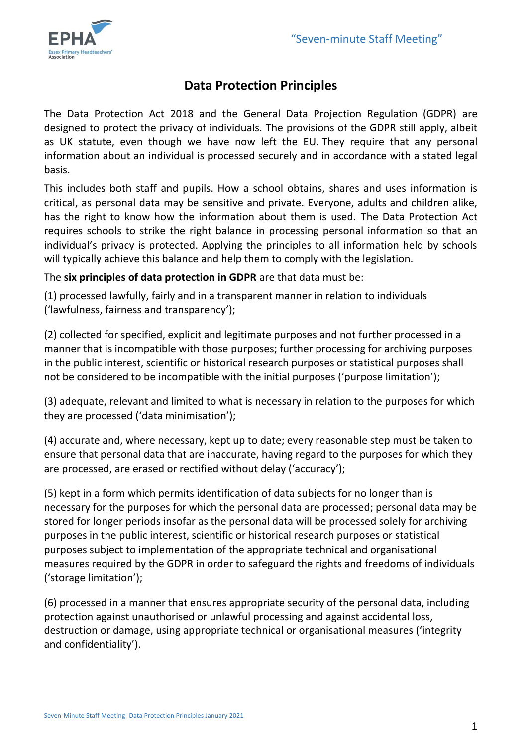

# **Data Protection Principles**

The Data Protection Act 2018 and the General Data Projection Regulation (GDPR) are designed to protect the privacy of individuals. The provisions of the GDPR still apply, albeit as UK statute, even though we have now left the EU. They require that any personal information about an individual is processed securely and in accordance with a stated legal basis.

This includes both staff and pupils. How a school obtains, shares and uses information is critical, as personal data may be sensitive and private. Everyone, adults and children alike, has the right to know how the information about them is used. The Data Protection Act requires schools to strike the right balance in processing personal information so that an individual's privacy is protected. Applying the principles to all information held by schools will typically achieve this balance and help them to comply with the legislation.

The **six principles of data protection in GDPR** are that data must be:

(1) processed lawfully, fairly and in a transparent manner in relation to individuals ('lawfulness, fairness and transparency');

(2) collected for specified, explicit and legitimate purposes and not further processed in a manner that is incompatible with those purposes; further processing for archiving purposes in the public interest, scientific or historical research purposes or statistical purposes shall not be considered to be incompatible with the initial purposes ('purpose limitation');

(3) adequate, relevant and limited to what is necessary in relation to the purposes for which they are processed ('data minimisation');

(4) accurate and, where necessary, kept up to date; every reasonable step must be taken to ensure that personal data that are inaccurate, having regard to the purposes for which they are processed, are erased or rectified without delay ('accuracy');

(5) kept in a form which permits identification of data subjects for no longer than is necessary for the purposes for which the personal data are processed; personal data may be stored for longer periods insofar as the personal data will be processed solely for archiving purposes in the public interest, scientific or historical research purposes or statistical purposes subject to implementation of the appropriate technical and organisational measures required by the GDPR in order to safeguard the rights and freedoms of individuals ('storage limitation');

(6) processed in a manner that ensures appropriate security of the personal data, including protection against unauthorised or unlawful processing and against accidental loss, destruction or damage, using appropriate technical or organisational measures ('integrity and confidentiality').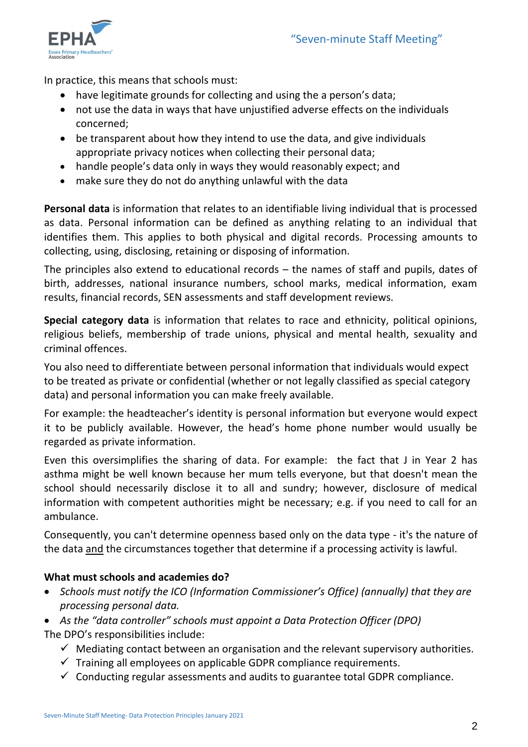

In practice, this means that schools must:

- have legitimate grounds for collecting and using the a person's data;
- not use the data in ways that have unjustified adverse effects on the individuals concerned;
- be transparent about how they intend to use the data, and give individuals appropriate privacy notices when collecting their personal data;
- handle people's data only in ways they would reasonably expect; and
- make sure they do not do anything unlawful with the data

**Personal data** is information that relates to an identifiable living individual that is processed as data. Personal information can be defined as anything relating to an individual that identifies them. This applies to both physical and digital records. Processing amounts to collecting, using, disclosing, retaining or disposing of information.

The principles also extend to educational records – the names of staff and pupils, dates of birth, addresses, national insurance numbers, school marks, medical information, exam results, financial records, SEN assessments and staff development reviews.

**Special category data** is information that relates to race and ethnicity, political opinions, religious beliefs, membership of trade unions, physical and mental health, sexuality and criminal offences.

You also need to differentiate between personal information that individuals would expect to be treated as private or confidential (whether or not legally classified as special category data) and personal information you can make freely available.

For example: the headteacher's identity is personal information but everyone would expect it to be publicly available. However, the head's home phone number would usually be regarded as private information.

Even this oversimplifies the sharing of data. For example: the fact that J in Year 2 has asthma might be well known because her mum tells everyone, but that doesn't mean the school should necessarily disclose it to all and sundry; however, disclosure of medical information with competent authorities might be necessary; e.g. if you need to call for an ambulance.

Consequently, you can't determine openness based only on the data type - it's the nature of the data and the circumstances together that determine if a processing activity is lawful.

## **What must schools and academies do?**

- *Schools must notify the ICO (Information Commissioner's Office) (annually) that they are processing personal data.*
- *As the "data controller" schools must appoint a Data Protection Officer (DPO)*

The DPO's responsibilities include:

- $\checkmark$  Mediating contact between an organisation and the relevant supervisory authorities.
- $\checkmark$  Training all employees on applicable GDPR compliance requirements.
- $\checkmark$  Conducting regular assessments and audits to guarantee total GDPR compliance.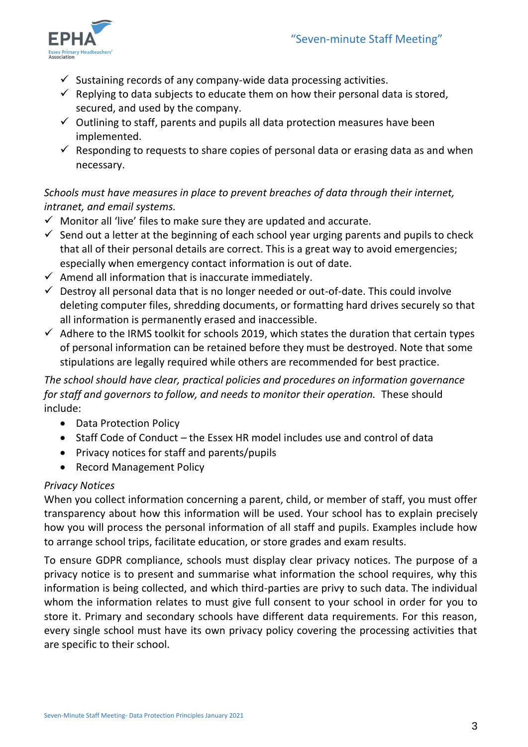

- $\checkmark$  Sustaining records of any company-wide data processing activities.
- $\checkmark$  Replying to data subjects to educate them on how their personal data is stored. secured, and used by the company.
- $\checkmark$  Outlining to staff, parents and pupils all data protection measures have been implemented.
- $\checkmark$  Responding to requests to share copies of personal data or erasing data as and when necessary.

## *Schools must have measures in place to prevent breaches of data through their internet, intranet, and email systems.*

- $\checkmark$  Monitor all 'live' files to make sure they are updated and accurate.
- $\checkmark$  Send out a letter at the beginning of each school year urging parents and pupils to check that all of their personal details are correct. This is a great way to avoid emergencies; especially when emergency contact information is out of date.
- $\checkmark$  Amend all information that is inaccurate immediately.
- $\checkmark$  Destroy all personal data that is no longer needed or out-of-date. This could involve deleting computer files, shredding documents, or formatting hard drives securely so that all information is permanently erased and inaccessible.
- $\checkmark$  Adhere to the IRMS toolkit for schools 2019, which states the duration that certain types of personal information can be retained before they must be destroyed. Note that some stipulations are legally required while others are recommended for best practice.

## *The school should have clear, practical policies and procedures on information governance for staff and governors to follow, and needs to monitor their operation.* These should include:

- Data Protection Policy
- Staff Code of Conduct the Essex HR model includes use and control of data
- Privacy notices for staff and parents/pupils
- Record Management Policy

#### *Privacy Notices*

When you collect information concerning a parent, child, or member of staff, you must offer transparency about how this information will be used. Your school has to explain precisely how you will process the personal information of all staff and pupils. Examples include how to arrange school trips, facilitate education, or store grades and exam results.

To ensure GDPR compliance, schools must display clear privacy notices. The purpose of a privacy notice is to present and summarise what information the school requires, why this information is being collected, and which third-parties are privy to such data. The individual whom the information relates to must give full consent to your school in order for you to store it. Primary and secondary schools have different data requirements. For this reason, every single school must have its own privacy policy covering the processing activities that are specific to their school.